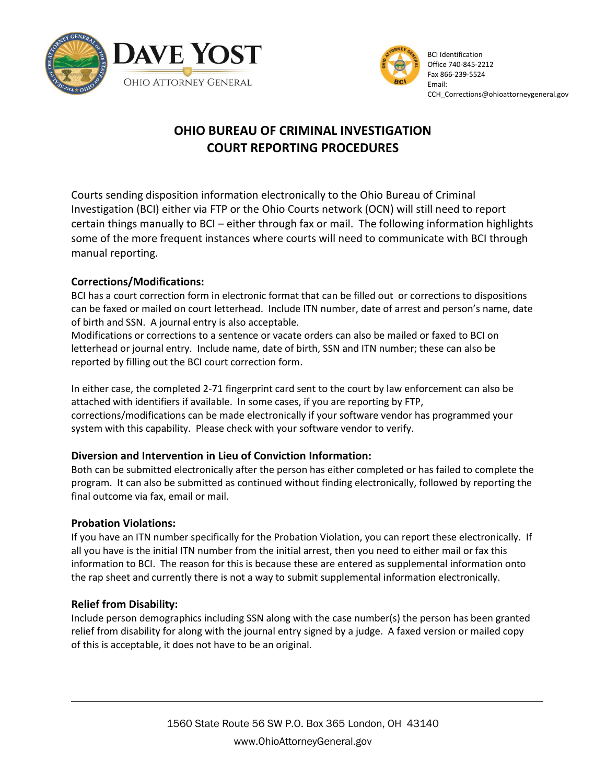



# **OHIO BUREAU OF CRIMINAL INVESTIGATION COURT REPORTING PROCEDURES**

Courts sending disposition information electronically to the Ohio Bureau of Criminal Investigation (BCI) either via FTP or the Ohio Courts network (OCN) will still need to report certain things manually to BCI – either through fax or mail. The following information highlights some of the more frequent instances where courts will need to communicate with BCI through manual reporting.

# **Corrections/Modifications:**

BCI has a court correction form in electronic format that can be filled out or corrections to dispositions can be faxed or mailed on court letterhead. Include ITN number, date of arrest and person's name, date of birth and SSN. A journal entry is also acceptable.

Modifications or corrections to a sentence or vacate orders can also be mailed or faxed to BCI on letterhead or journal entry. Include name, date of birth, SSN and ITN number; these can also be reported by filling out the BCI court correction form.

In either case, the completed 2-71 fingerprint card sent to the court by law enforcement can also be attached with identifiers if available. In some cases, if you are reporting by FTP, corrections/modifications can be made electronically if your software vendor has programmed your system with this capability. Please check with your software vendor to verify.

# **Diversion and Intervention in Lieu of Conviction Information:**

Both can be submitted electronically after the person has either completed or has failed to complete the program. It can also be submitted as continued without finding electronically, followed by reporting the final outcome via fax, email or mail.

# **Probation Violations:**

If you have an ITN number specifically for the Probation Violation, you can report these electronically. If all you have is the initial ITN number from the initial arrest, then you need to either mail or fax this information to BCI. The reason for this is because these are entered as supplemental information onto the rap sheet and currently there is not a way to submit supplemental information electronically.

# **Relief from Disability:**

Include person demographics including SSN along with the case number(s) the person has been granted relief from disability for along with the journal entry signed by a judge. A faxed version or mailed copy of this is acceptable, it does not have to be an original.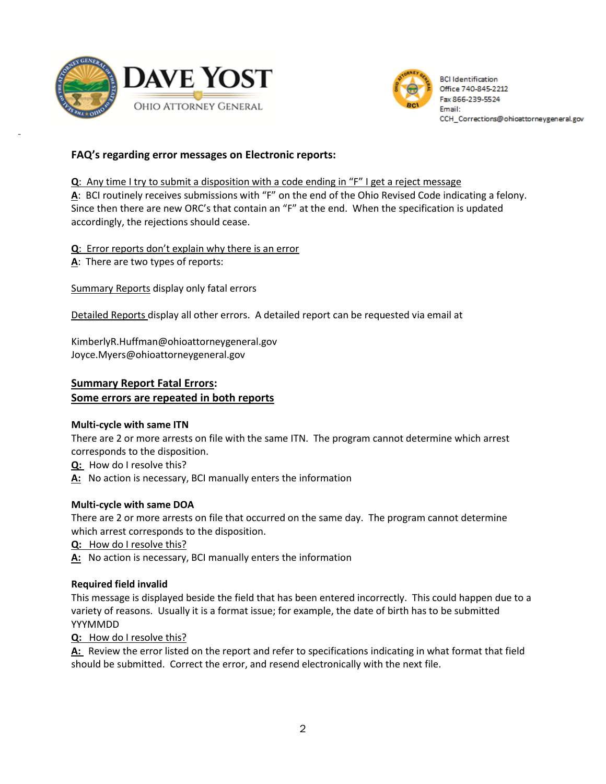



# **FAQ's regarding error messages on Electronic reports:**

**Q**: Any time I try to submit a disposition with a code ending in "F" I get a reject message **A**: BCI routinely receives submissions with "F" on the end of the Ohio Revised Code indicating a felony. Since then there are new ORC's that contain an "F" at the end. When the specification is updated accordingly, the rejections should cease.

**Q**: Error reports don't explain why there is an error

**A**: There are two types of reports:

Summary Reports display only fatal errors

Detailed Reports display all other errors. A detailed report can be requested via email at

KimberlyR.Huffman@ohioattorneygeneral.gov Joyce.Myers@ohioattorneygeneral.gov

#### **Summary Report Fatal Errors: Some errors are repeated in both reports**

#### **Multi-cycle with same ITN**

There are 2 or more arrests on file with the same ITN. The program cannot determine which arrest corresponds to the disposition.

**Q:** How do I resolve this?

**A:** No action is necessary, BCI manually enters the information

#### **Multi-cycle with same DOA**

There are 2 or more arrests on file that occurred on the same day. The program cannot determine which arrest corresponds to the disposition.

**Q:** How do I resolve this?

**A:** No action is necessary, BCI manually enters the information

#### **Required field invalid**

This message is displayed beside the field that has been entered incorrectly. This could happen due to a variety of reasons. Usually it is a format issue; for example, the date of birth has to be submitted YYYMMDD

**Q:** How do I resolve this?

**A:** Review the error listed on the report and refer to specifications indicating in what format that field should be submitted. Correct the error, and resend electronically with the next file.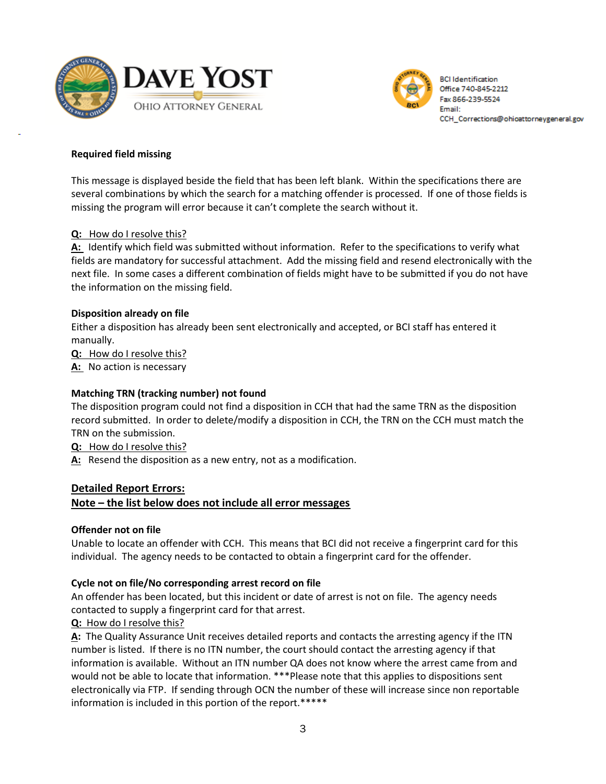



#### **Required field missing**

This message is displayed beside the field that has been left blank. Within the specifications there are several combinations by which the search for a matching offender is processed. If one of those fields is missing the program will error because it can't complete the search without it.

#### **Q:** How do I resolve this?

**A:** Identify which field was submitted without information. Refer to the specifications to verify what fields are mandatory for successful attachment. Add the missing field and resend electronically with the next file. In some cases a different combination of fields might have to be submitted if you do not have the information on the missing field.

#### **Disposition already on file**

Either a disposition has already been sent electronically and accepted, or BCI staff has entered it manually.

**Q:** How do I resolve this?

**A:** No action is necessary

#### **Matching TRN (tracking number) not found**

The disposition program could not find a disposition in CCH that had the same TRN as the disposition record submitted. In order to delete/modify a disposition in CCH, the TRN on the CCH must match the TRN on the submission.

**Q:** How do I resolve this?

**A:** Resend the disposition as a new entry, not as a modification.

# **Detailed Report Errors: Note – the list below does not include all error messages**

#### **Offender not on file**

Unable to locate an offender with CCH. This means that BCI did not receive a fingerprint card for this individual. The agency needs to be contacted to obtain a fingerprint card for the offender.

#### **Cycle not on file/No corresponding arrest record on file**

An offender has been located, but this incident or date of arrest is not on file. The agency needs contacted to supply a fingerprint card for that arrest.

#### **Q:** How do I resolve this?

**A:** The Quality Assurance Unit receives detailed reports and contacts the arresting agency if the ITN number is listed. If there is no ITN number, the court should contact the arresting agency if that information is available. Without an ITN number QA does not know where the arrest came from and would not be able to locate that information. \*\*\*Please note that this applies to dispositions sent electronically via FTP. If sending through OCN the number of these will increase since non reportable information is included in this portion of the report.\*\*\*\*\*